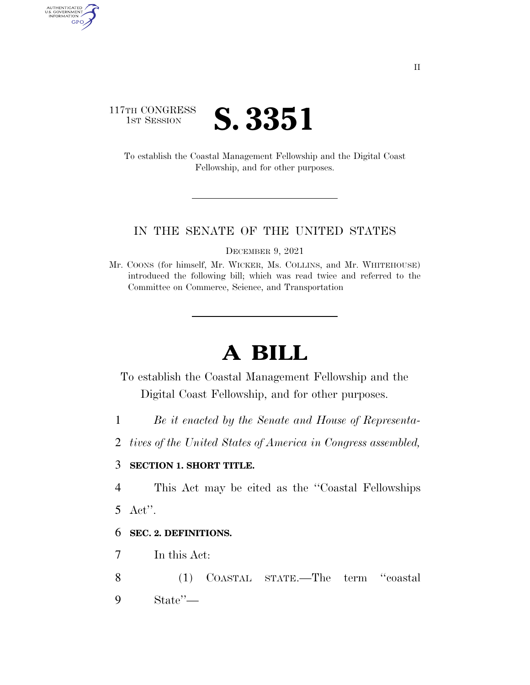# 117TH CONGRESS **1ST SESSION S. 3351**

AUTHENTICATED<br>U.S. GOVERNMENT<br>INFORMATION

GPO

To establish the Coastal Management Fellowship and the Digital Coast Fellowship, and for other purposes.

#### IN THE SENATE OF THE UNITED STATES

DECEMBER 9, 2021

Mr. COONS (for himself, Mr. WICKER, Ms. COLLINS, and Mr. WHITEHOUSE) introduced the following bill; which was read twice and referred to the Committee on Commerce, Science, and Transportation

# **A BILL**

To establish the Coastal Management Fellowship and the Digital Coast Fellowship, and for other purposes.

- 1 *Be it enacted by the Senate and House of Representa-*
- 2 *tives of the United States of America in Congress assembled,*

#### 3 **SECTION 1. SHORT TITLE.**

4 This Act may be cited as the ''Coastal Fellowships 5 Act''.

#### 6 **SEC. 2. DEFINITIONS.**

- 7 In this Act:
- 8 (1) COASTAL STATE.—The term ''coastal 9 State''—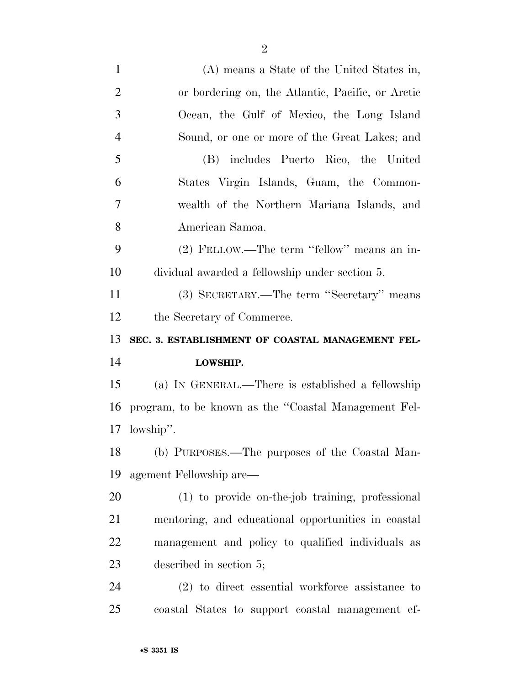| $\mathbf{1}$   | (A) means a State of the United States in,           |
|----------------|------------------------------------------------------|
| $\overline{2}$ | or bordering on, the Atlantic, Pacific, or Arctic    |
| 3              | Ocean, the Gulf of Mexico, the Long Island           |
| $\overline{4}$ | Sound, or one or more of the Great Lakes; and        |
| 5              | (B) includes Puerto Rico, the United                 |
| 6              | States Virgin Islands, Guam, the Common-             |
| 7              | wealth of the Northern Mariana Islands, and          |
| 8              | American Samoa.                                      |
| 9              | (2) FELLOW.—The term "fellow" means an in-           |
| 10             | dividual awarded a fellowship under section 5.       |
| 11             | (3) SECRETARY.—The term "Secretary" means            |
| 12             | the Secretary of Commerce.                           |
|                |                                                      |
| 13             | SEC. 3. ESTABLISHMENT OF COASTAL MANAGEMENT FEL-     |
| 14             | LOWSHIP.                                             |
| 15             | (a) IN GENERAL.—There is established a fellowship    |
| 16             | program, to be known as the "Coastal Management Fel- |
| 17             | lowship".                                            |
| 18             | (b) PURPOSES.—The purposes of the Coastal Man-       |
| 19             | agement Fellowship are—                              |
| 20             | (1) to provide on-the-job training, professional     |
| 21             | mentoring, and educational opportunities in coastal  |
| 22             | management and policy to qualified individuals as    |
| 23             | described in section 5;                              |
| 24             | $(2)$ to direct essential workforce assistance to    |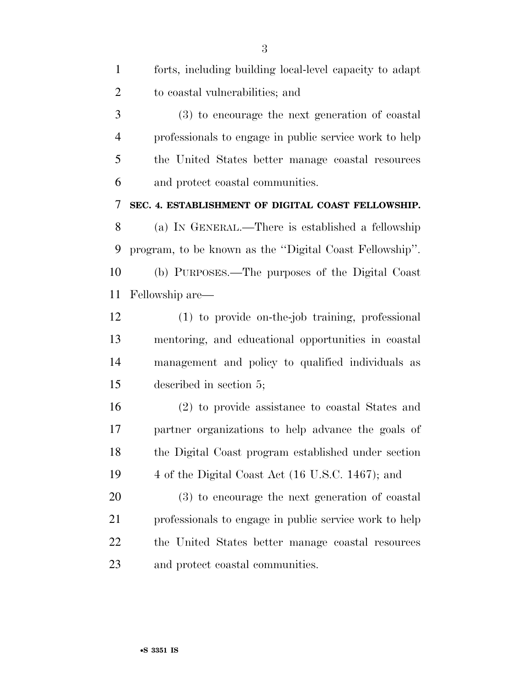| $\mathbf{1}$   | forts, including building local-level capacity to adapt |
|----------------|---------------------------------------------------------|
| $\overline{2}$ | to coastal vulnerabilities; and                         |
| 3              | (3) to encourage the next generation of coastal         |
| $\overline{4}$ | professionals to engage in public service work to help  |
| 5              | the United States better manage coastal resources       |
| 6              | and protect coastal communities.                        |
| 7              | SEC. 4. ESTABLISHMENT OF DIGITAL COAST FELLOWSHIP.      |
| 8              | (a) IN GENERAL.—There is established a fellowship       |
| 9              | program, to be known as the "Digital Coast Fellowship". |
| 10             | (b) PURPOSES.—The purposes of the Digital Coast         |
| 11             | Fellowship are—                                         |
| 12             | (1) to provide on-the-job training, professional        |
| 13             | mentoring, and educational opportunities in coastal     |
| 14             | management and policy to qualified individuals as       |
| 15             | described in section 5;                                 |
| 16             | (2) to provide assistance to coastal States and         |
| 17             | partner organizations to help advance the goals of      |
| 18             | the Digital Coast program established under section     |
| 19             | 4 of the Digital Coast Act (16 U.S.C. 1467); and        |
| 20             | (3) to encourage the next generation of coastal         |
| 21             | professionals to engage in public service work to help  |
| 22             | the United States better manage coastal resources       |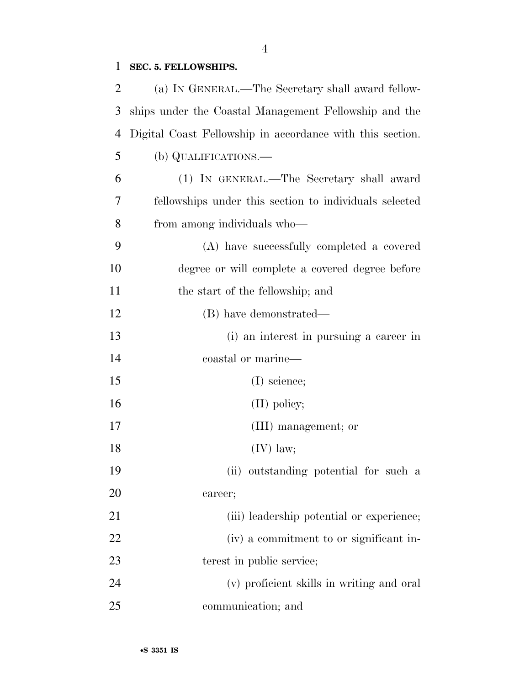### **SEC. 5. FELLOWSHIPS.**

| 2              | (a) IN GENERAL.—The Secretary shall award fellow-         |
|----------------|-----------------------------------------------------------|
| 3              | ships under the Coastal Management Fellowship and the     |
| $\overline{4}$ | Digital Coast Fellowship in accordance with this section. |
| 5              | (b) QUALIFICATIONS.—                                      |
| 6              | (1) IN GENERAL.—The Secretary shall award                 |
| 7              | fellowships under this section to individuals selected    |
| 8              | from among individuals who—                               |
| 9              | (A) have successfully completed a covered                 |
| 10             | degree or will complete a covered degree before           |
| 11             | the start of the fellowship; and                          |
| 12             | (B) have demonstrated—                                    |
| 13             | (i) an interest in pursuing a career in                   |
| 14             | coastal or marine—                                        |
| 15             | $(I)$ science;                                            |
| 16             | $(II)$ policy;                                            |
| 17             | (III) management; or                                      |
| 18             | $(IV)$ law;                                               |
| 19             | (ii) outstanding potential for such a                     |
| 20             | career;                                                   |
| 21             | (iii) leadership potential or experience;                 |
| 22             | (iv) a commitment to or significant in-                   |
| 23             | terest in public service;                                 |
| 24             | (v) proficient skills in writing and oral                 |
| 25             | communication; and                                        |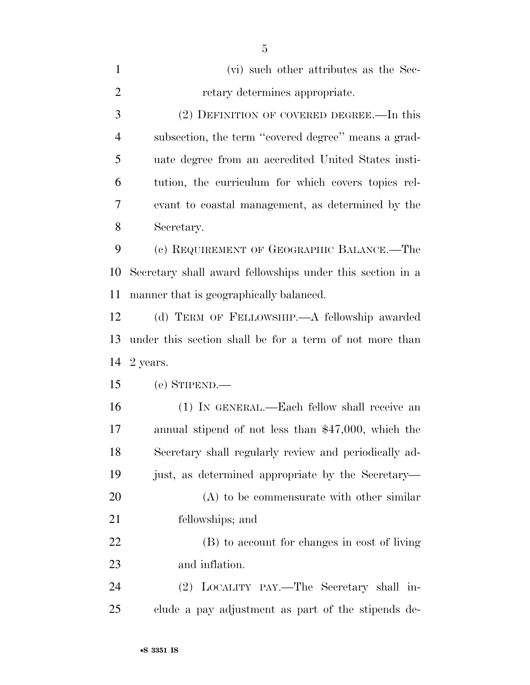| $\mathbf{1}$   | (vi) such other attributes as the Sec-                    |
|----------------|-----------------------------------------------------------|
| $\overline{2}$ | retary determines appropriate.                            |
| 3              | (2) DEFINITION OF COVERED DEGREE.—In this                 |
| $\overline{4}$ | subsection, the term "covered degree" means a grad-       |
| 5              | uate degree from an accredited United States insti-       |
| 6              | tution, the curriculum for which covers topics rel-       |
| 7              | evant to coastal management, as determined by the         |
| 8              | Secretary.                                                |
| 9              | (c) REQUIREMENT OF GEOGRAPHIC BALANCE.—The                |
| 10             | Secretary shall award fellowships under this section in a |
| 11             | manner that is geographically balanced.                   |
| 12             | (d) TERM OF FELLOWSHIP.—A fellowship awarded              |
| 13             | under this section shall be for a term of not more than   |
| 14             | 2 years.                                                  |
| 15             | (e) STIPEND.—                                             |
| 16             | (1) IN GENERAL.—Each fellow shall receive an              |
| 17             | annual stipend of not less than $$47,000$ , which the     |
| 18             | Secretary shall regularly review and periodically ad-     |
| 19             | just, as determined appropriate by the Secretary—         |
| 20             | $(A)$ to be commensurate with other similar               |
| 21             | fellowships; and                                          |
| 22             | (B) to account for changes in cost of living              |
| 23             | and inflation.                                            |
| 24             | (2) LOCALITY PAY.—The Secretary shall in-                 |
| 25             | clude a pay adjustment as part of the stipends de-        |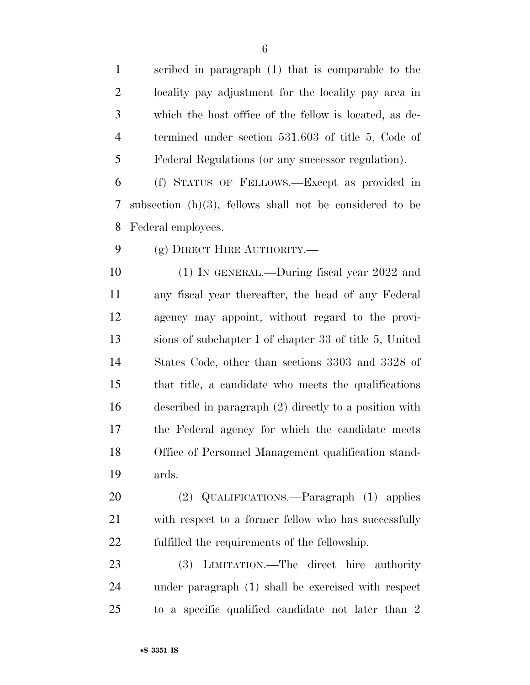scribed in paragraph (1) that is comparable to the locality pay adjustment for the locality pay area in which the host office of the fellow is located, as de- termined under section 531.603 of title 5, Code of Federal Regulations (or any successor regulation).

 (f) STATUS OF FELLOWS.—Except as provided in subsection (h)(3), fellows shall not be considered to be Federal employees.

9 (g) DIRECT HIRE AUTHORITY.—

 (1) IN GENERAL.—During fiscal year 2022 and any fiscal year thereafter, the head of any Federal agency may appoint, without regard to the provi- sions of subchapter I of chapter 33 of title 5, United States Code, other than sections 3303 and 3328 of that title, a candidate who meets the qualifications described in paragraph (2) directly to a position with the Federal agency for which the candidate meets Office of Personnel Management qualification stand-ards.

 (2) QUALIFICATIONS.—Paragraph (1) applies with respect to a former fellow who has successfully fulfilled the requirements of the fellowship.

 (3) LIMITATION.—The direct hire authority under paragraph (1) shall be exercised with respect to a specific qualified candidate not later than 2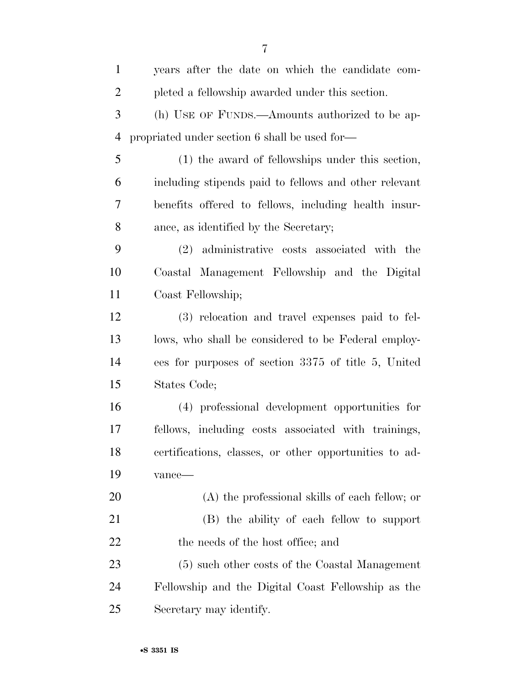| $\mathbf{1}$   | years after the date on which the candidate com-       |
|----------------|--------------------------------------------------------|
| $\overline{2}$ | pleted a fellowship awarded under this section.        |
| 3              | (h) USE OF FUNDS.—Amounts authorized to be ap-         |
| $\overline{4}$ | propriated under section 6 shall be used for-          |
| 5              | (1) the award of fellowships under this section,       |
| 6              | including stipends paid to fellows and other relevant  |
| 7              | benefits offered to fellows, including health insur-   |
| 8              | ance, as identified by the Secretary;                  |
| 9              | (2) administrative costs associated with the           |
| 10             | Coastal Management Fellowship and the Digital          |
| 11             | Coast Fellowship;                                      |
| 12             | (3) relocation and travel expenses paid to fel-        |
| 13             | lows, who shall be considered to be Federal employ-    |
| 14             | ees for purposes of section 3375 of title 5, United    |
| 15             | States Code;                                           |
| 16             | (4) professional development opportunities for         |
| 17             | fellows, including costs associated with trainings,    |
| 18             | certifications, classes, or other opportunities to ad- |
| 19             | vance-                                                 |
| 20             | (A) the professional skills of each fellow; or         |
| 21             | (B) the ability of each fellow to support              |
| 22             | the needs of the host office; and                      |
| 23             | (5) such other costs of the Coastal Management         |
| 24             | Fellowship and the Digital Coast Fellowship as the     |
| 25             | Secretary may identify.                                |